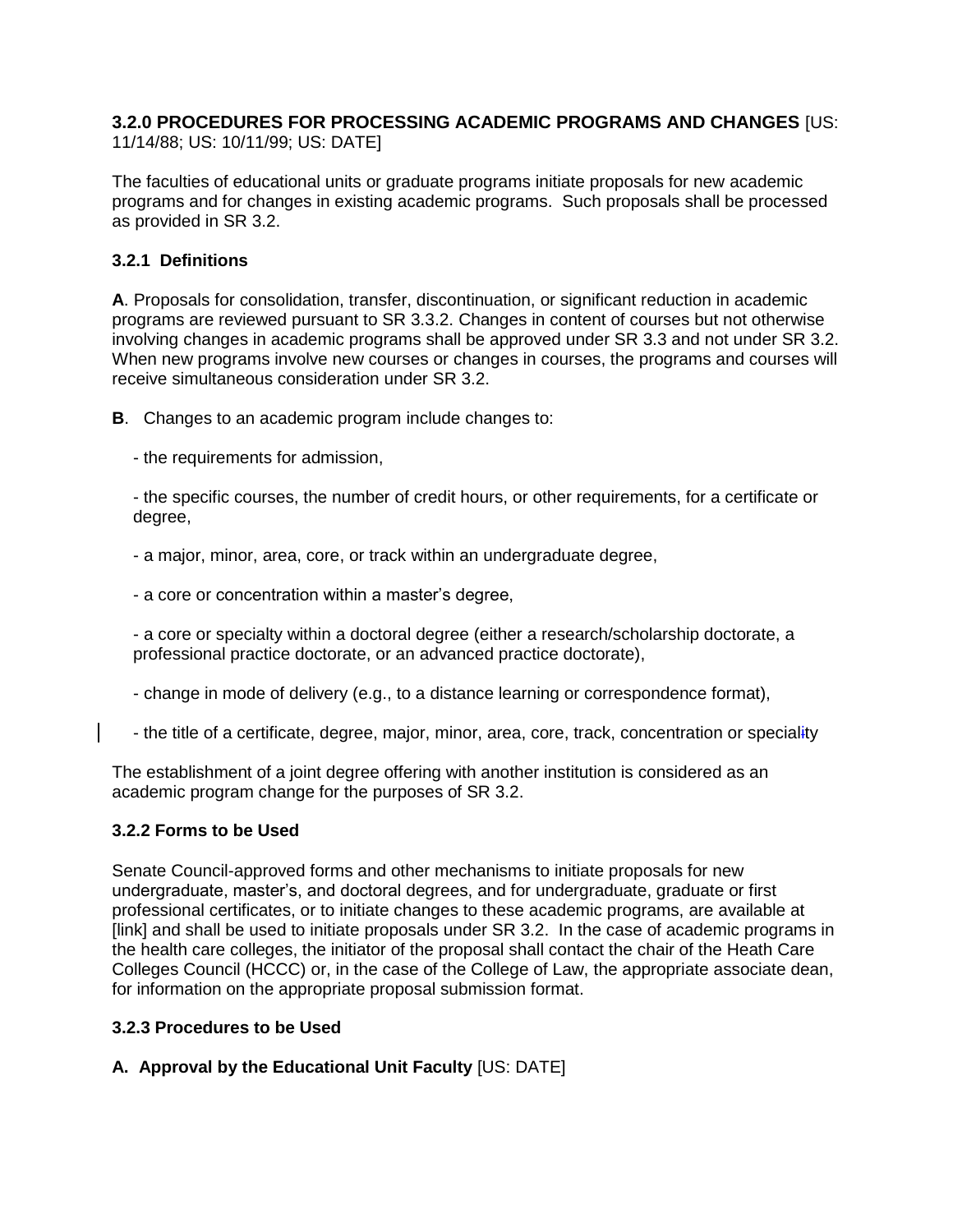# **3.2.0 PROCEDURES FOR PROCESSING ACADEMIC PROGRAMS AND CHANGES** [US:

11/14/88; US: 10/11/99; US: DATE]

The faculties of educational units or graduate programs initiate proposals for new academic programs and for changes in existing academic programs. Such proposals shall be processed as provided in SR 3.2.

## **3.2.1 Definitions**

**A**. Proposals for consolidation, transfer, discontinuation, or significant reduction in academic programs are reviewed pursuant to SR 3.3.2. Changes in content of courses but not otherwise involving changes in academic programs shall be approved under SR 3.3 and not under SR 3.2. When new programs involve new courses or changes in courses, the programs and courses will receive simultaneous consideration under SR 3.2.

**B**. Changes to an academic program include changes to:

- the requirements for admission,

- the specific courses, the number of credit hours, or other requirements, for a certificate or degree,

- a major, minor, area, core, or track within an undergraduate degree,

- a core or concentration within a master's degree,

- a core or specialty within a doctoral degree (either a research/scholarship doctorate, a professional practice doctorate, or an advanced practice doctorate),

- change in mode of delivery (e.g., to a distance learning or correspondence format),

- the title of a certificate, degree, major, minor, area, core, track, concentration or speciality

The establishment of a joint degree offering with another institution is considered as an academic program change for the purposes of SR 3.2.

### **3.2.2 Forms to be Used**

Senate Council-approved forms and other mechanisms to initiate proposals for new undergraduate, master's, and doctoral degrees, and for undergraduate, graduate or first professional certificates, or to initiate changes to these academic programs, are available at [link] and shall be used to initiate proposals under SR 3.2. In the case of academic programs in the health care colleges, the initiator of the proposal shall contact the chair of the Heath Care Colleges Council (HCCC) or, in the case of the College of Law, the appropriate associate dean, for information on the appropriate proposal submission format.

### **3.2.3 Procedures to be Used**

### **A. Approval by the Educational Unit Faculty** [US: DATE]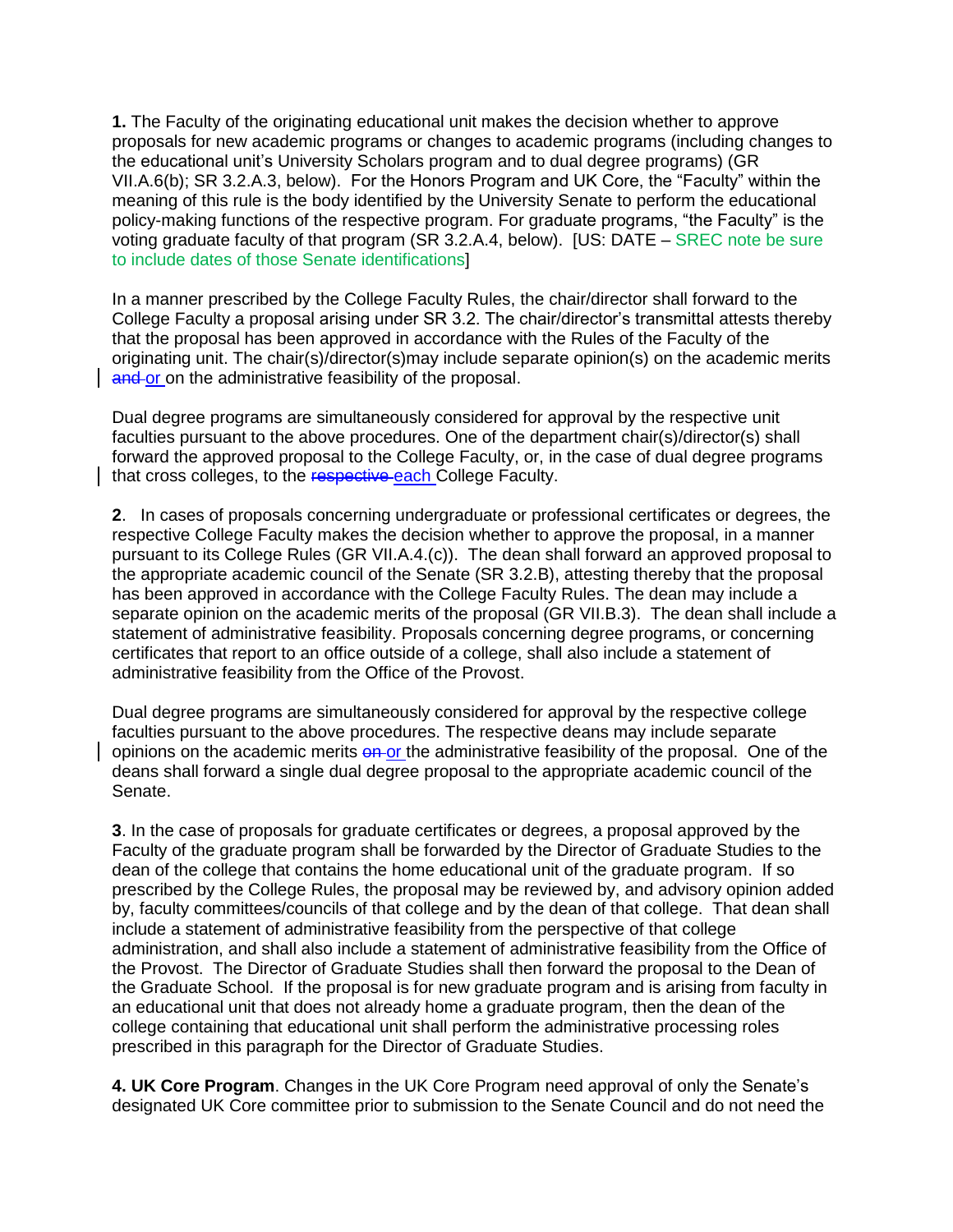**1.** The Faculty of the originating educational unit makes the decision whether to approve proposals for new academic programs or changes to academic programs (including changes to the educational unit's University Scholars program and to dual degree programs) (GR VII.A.6(b); SR 3.2.A.3, below). For the Honors Program and UK Core, the "Faculty" within the meaning of this rule is the body identified by the University Senate to perform the educational policy-making functions of the respective program. For graduate programs, "the Faculty" is the voting graduate faculty of that program (SR 3.2.A.4, below). [US: DATE – SREC note be sure to include dates of those Senate identifications]

In a manner prescribed by the College Faculty Rules, the chair/director shall forward to the College Faculty a proposal arising under SR 3.2. The chair/director's transmittal attests thereby that the proposal has been approved in accordance with the Rules of the Faculty of the originating unit. The chair(s)/director(s)may include separate opinion(s) on the academic merits and or on the administrative feasibility of the proposal.

Dual degree programs are simultaneously considered for approval by the respective unit faculties pursuant to the above procedures. One of the department chair(s)/director(s) shall forward the approved proposal to the College Faculty, or, in the case of dual degree programs that cross colleges, to the respective each College Faculty.

**2**. In cases of proposals concerning undergraduate or professional certificates or degrees, the respective College Faculty makes the decision whether to approve the proposal, in a manner pursuant to its College Rules (GR VII.A.4.(c)). The dean shall forward an approved proposal to the appropriate academic council of the Senate (SR 3.2.B), attesting thereby that the proposal has been approved in accordance with the College Faculty Rules. The dean may include a separate opinion on the academic merits of the proposal (GR VII.B.3). The dean shall include a statement of administrative feasibility. Proposals concerning degree programs, or concerning certificates that report to an office outside of a college, shall also include a statement of administrative feasibility from the Office of the Provost.

Dual degree programs are simultaneously considered for approval by the respective college faculties pursuant to the above procedures. The respective deans may include separate opinions on the academic merits on or the administrative feasibility of the proposal. One of the deans shall forward a single dual degree proposal to the appropriate academic council of the Senate.

**3**. In the case of proposals for graduate certificates or degrees, a proposal approved by the Faculty of the graduate program shall be forwarded by the Director of Graduate Studies to the dean of the college that contains the home educational unit of the graduate program. If so prescribed by the College Rules, the proposal may be reviewed by, and advisory opinion added by, faculty committees/councils of that college and by the dean of that college. That dean shall include a statement of administrative feasibility from the perspective of that college administration, and shall also include a statement of administrative feasibility from the Office of the Provost. The Director of Graduate Studies shall then forward the proposal to the Dean of the Graduate School. If the proposal is for new graduate program and is arising from faculty in an educational unit that does not already home a graduate program, then the dean of the college containing that educational unit shall perform the administrative processing roles prescribed in this paragraph for the Director of Graduate Studies.

**4. UK Core Program**. Changes in the UK Core Program need approval of only the Senate's designated UK Core committee prior to submission to the Senate Council and do not need the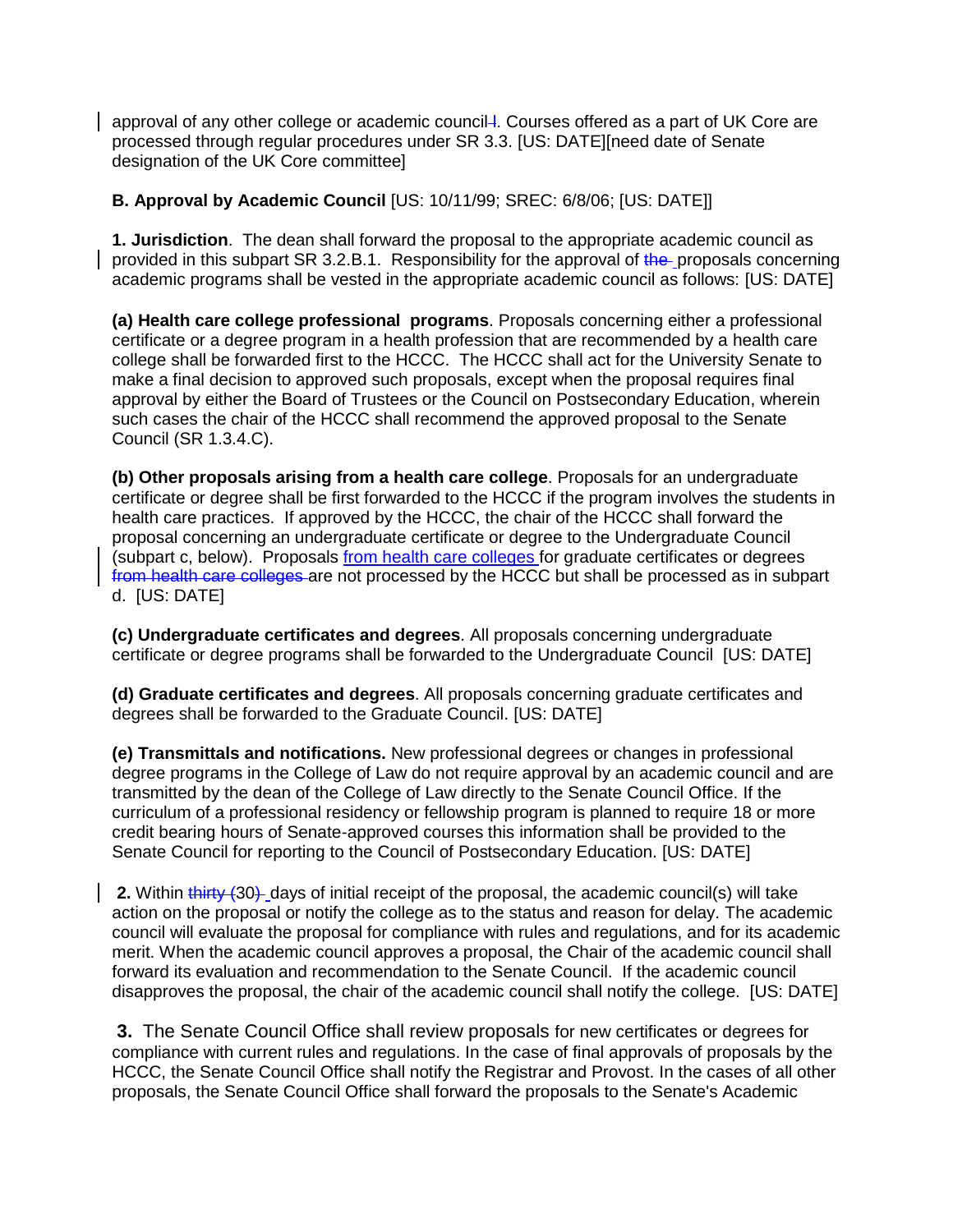approval of any other college or academic council-l. Courses offered as a part of UK Core are processed through regular procedures under SR 3.3. [US: DATE][need date of Senate designation of the UK Core committee]

#### **B. Approval by Academic Council** [US: 10/11/99; SREC: 6/8/06; [US: DATE]]

**1. Jurisdiction**. The dean shall forward the proposal to the appropriate academic council as provided in this subpart SR 3.2.B.1. Responsibility for the approval of the proposals concerning academic programs shall be vested in the appropriate academic council as follows: [US: DATE]

**(a) Health care college professional programs**. Proposals concerning either a professional certificate or a degree program in a health profession that are recommended by a health care college shall be forwarded first to the HCCC. The HCCC shall act for the University Senate to make a final decision to approved such proposals, except when the proposal requires final approval by either the Board of Trustees or the Council on Postsecondary Education, wherein such cases the chair of the HCCC shall recommend the approved proposal to the Senate Council (SR 1.3.4.C).

**(b) Other proposals arising from a health care college**. Proposals for an undergraduate certificate or degree shall be first forwarded to the HCCC if the program involves the students in health care practices. If approved by the HCCC, the chair of the HCCC shall forward the proposal concerning an undergraduate certificate or degree to the Undergraduate Council (subpart c, below). Proposals from health care colleges for graduate certificates or degrees from health care colleges are not processed by the HCCC but shall be processed as in subpart d. [US: DATE]

**(c) Undergraduate certificates and degrees**. All proposals concerning undergraduate certificate or degree programs shall be forwarded to the Undergraduate Council [US: DATE]

**(d) Graduate certificates and degrees**. All proposals concerning graduate certificates and degrees shall be forwarded to the Graduate Council. [US: DATE]

**(e) Transmittals and notifications.** New professional degrees or changes in professional degree programs in the College of Law do not require approval by an academic council and are transmitted by the dean of the College of Law directly to the Senate Council Office. If the curriculum of a professional residency or fellowship program is planned to require 18 or more credit bearing hours of Senate-approved courses this information shall be provided to the Senate Council for reporting to the Council of Postsecondary Education. [US: DATE]

**2.** Within thirty (30) days of initial receipt of the proposal, the academic council(s) will take action on the proposal or notify the college as to the status and reason for delay. The academic council will evaluate the proposal for compliance with rules and regulations, and for its academic merit. When the academic council approves a proposal, the Chair of the academic council shall forward its evaluation and recommendation to the Senate Council. If the academic council disapproves the proposal, the chair of the academic council shall notify the college. [US: DATE]

**3.** The Senate Council Office shall review proposals for new certificates or degrees for compliance with current rules and regulations. In the case of final approvals of proposals by the HCCC, the Senate Council Office shall notify the Registrar and Provost. In the cases of all other proposals, the Senate Council Office shall forward the proposals to the Senate's Academic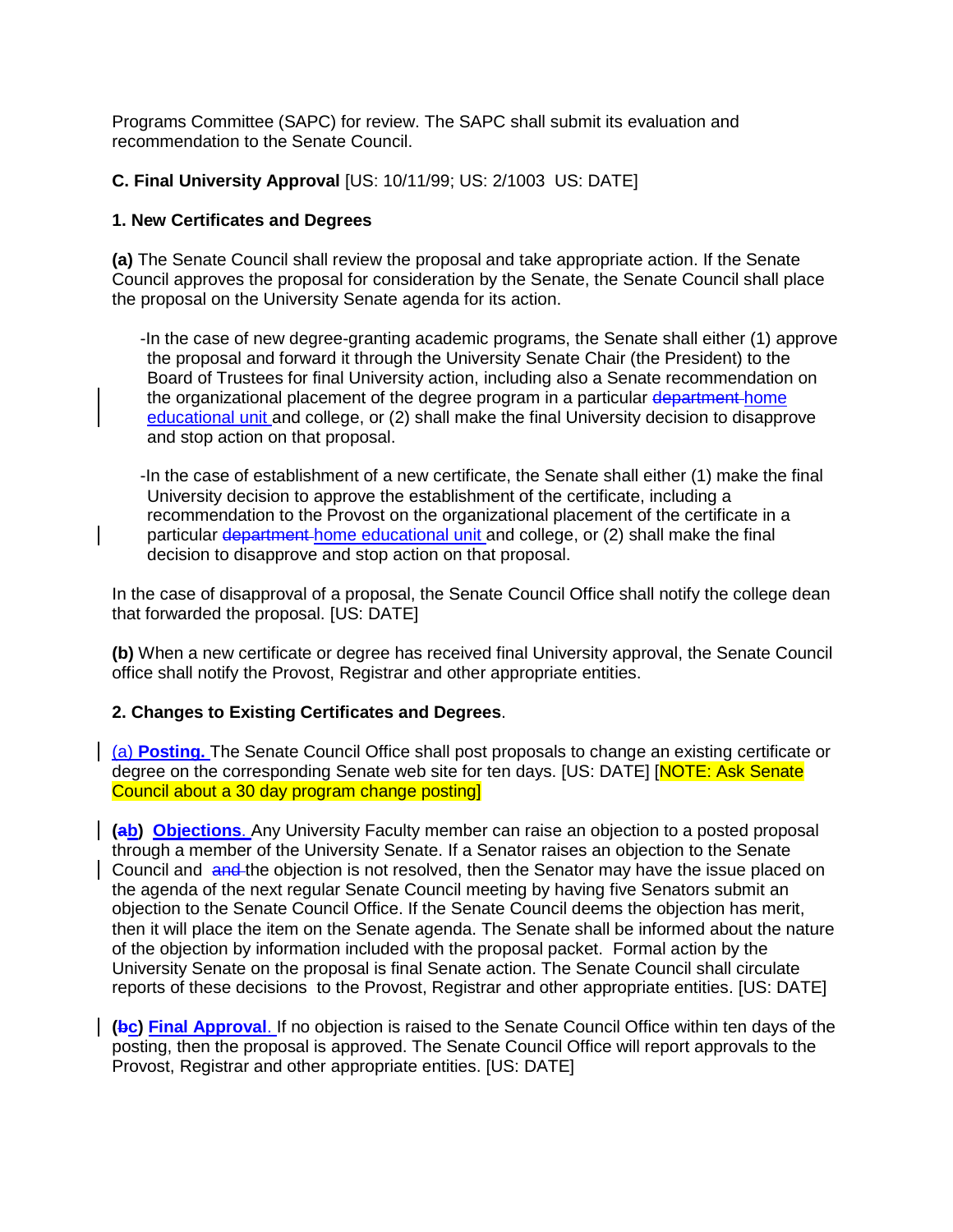Programs Committee (SAPC) for review. The SAPC shall submit its evaluation and recommendation to the Senate Council.

#### **C. Final University Approval** [US: 10/11/99; US: 2/1003 US: DATE]

#### **1. New Certificates and Degrees**

**(a)** The Senate Council shall review the proposal and take appropriate action. If the Senate Council approves the proposal for consideration by the Senate, the Senate Council shall place the proposal on the University Senate agenda for its action.

-In the case of new degree-granting academic programs, the Senate shall either (1) approve the proposal and forward it through the University Senate Chair (the President) to the Board of Trustees for final University action, including also a Senate recommendation on the organizational placement of the degree program in a particular department home educational unit and college, or (2) shall make the final University decision to disapprove and stop action on that proposal.

-In the case of establishment of a new certificate, the Senate shall either (1) make the final University decision to approve the establishment of the certificate, including a recommendation to the Provost on the organizational placement of the certificate in a particular department home educational unit and college, or (2) shall make the final decision to disapprove and stop action on that proposal.

In the case of disapproval of a proposal, the Senate Council Office shall notify the college dean that forwarded the proposal. [US: DATE]

**(b)** When a new certificate or degree has received final University approval, the Senate Council office shall notify the Provost, Registrar and other appropriate entities.

#### **2. Changes to Existing Certificates and Degrees**.

(a) **Posting.** The Senate Council Office shall post proposals to change an existing certificate or degree on the corresponding Senate web site for ten days. [US: DATE] [NOTE: Ask Senate Council about a 30 day program change posting]

**(ab) Objections**. Any University Faculty member can raise an objection to a posted proposal through a member of the University Senate. If a Senator raises an objection to the Senate Council and and the objection is not resolved, then the Senator may have the issue placed on the agenda of the next regular Senate Council meeting by having five Senators submit an objection to the Senate Council Office. If the Senate Council deems the objection has merit, then it will place the item on the Senate agenda. The Senate shall be informed about the nature of the objection by information included with the proposal packet. Formal action by the University Senate on the proposal is final Senate action. The Senate Council shall circulate reports of these decisions to the Provost, Registrar and other appropriate entities. [US: DATE]

**(bc) Final Approval**. If no objection is raised to the Senate Council Office within ten days of the posting, then the proposal is approved. The Senate Council Office will report approvals to the Provost, Registrar and other appropriate entities. [US: DATE]